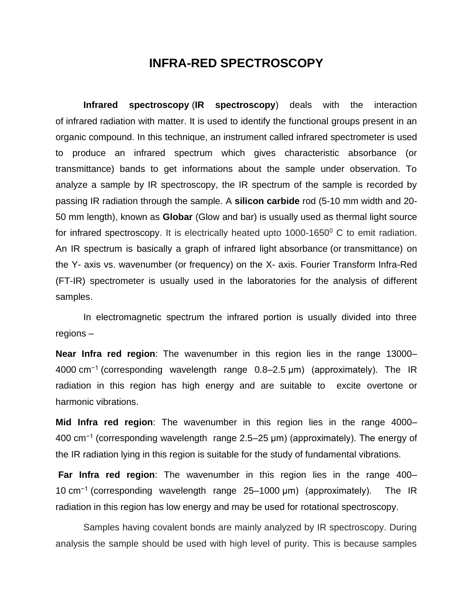# **INFRA-RED SPECTROSCOPY**

**Infrared spectroscopy** (**IR spectroscopy**) deals with the interaction of infrared radiation with matter. It is used to identify the functional groups present in an organic compound. In this technique, an instrument called infrared spectrometer is used to produce an infrared spectrum which gives characteristic absorbance (or transmittance) bands to get informations about the sample under observation. To analyze a sample by IR spectroscopy, the IR spectrum of the sample is recorded by passing IR radiation through the sample. A **silicon carbide** rod (5-10 mm width and 20- 50 mm length), known as **Globar** (Glow and bar) is usually used as thermal light source for infrared spectroscopy. It is electrically heated upto  $1000-1650^\circ$  C to emit radiation. An IR spectrum is basically a graph of infrared light absorbance (or transmittance) on the Y- axis vs. wavenumber (or frequency) on the X- axis. Fourier Transform Infra-Red (FT-IR) spectrometer is usually used in the laboratories for the analysis of different samples.

In electromagnetic spectrum the infrared portion is usually divided into three regions –

**Near Infra red region**: The wavenumber in this region lies in the range 13000– 4000 cm−1 (corresponding wavelength range 0.8–2.5 μm) (approximately). The IR radiation in this region has high energy and are suitable to excite overtone or harmonic vibrations.

**Mid Infra red region**: The wavenumber in this region lies in the range 4000– 400 cm−1 (corresponding wavelength range 2.5–25 μm) (approximately). The energy of the IR radiation lying in this region is suitable for the study of fundamental vibrations.

**Far Infra red region**: The wavenumber in this region lies in the range 400– 10 cm−1 (corresponding wavelength range 25–1000 μm) (approximately). The IR radiation in this region has low energy and may be used for rotational spectroscopy.

Samples having covalent bonds are mainly analyzed by IR spectroscopy. During analysis the sample should be used with high level of purity. This is because samples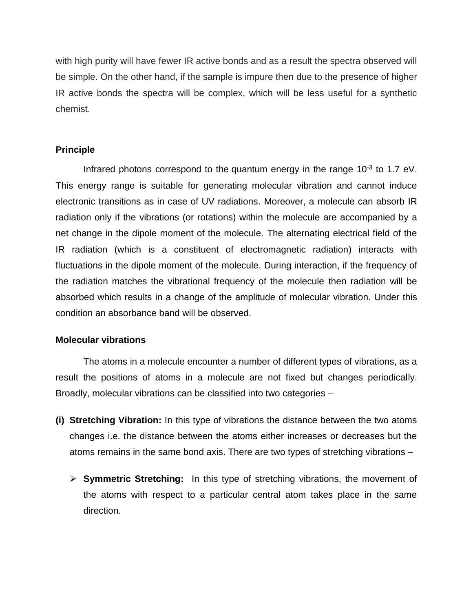with high purity will have fewer IR active bonds and as a result the spectra observed will be simple. On the other hand, if the sample is impure then due to the presence of higher IR active bonds the spectra will be complex, which will be less useful for a synthetic chemist.

# **Principle**

Infrared photons correspond to the quantum energy in the range  $10^{-3}$  to 1.7 eV. This energy range is suitable for generating molecular vibration and cannot induce electronic transitions as in case of UV radiations. Moreover, a molecule can absorb IR radiation only if the vibrations (or rotations) within the molecule are accompanied by a net change in the dipole moment of the molecule. The alternating electrical field of the IR radiation (which is a constituent of electromagnetic radiation) interacts with fluctuations in the dipole moment of the molecule. During interaction, if the frequency of the radiation matches the vibrational frequency of the molecule then radiation will be absorbed which results in a change of the amplitude of molecular vibration. Under this condition an absorbance band will be observed.

# **Molecular vibrations**

The atoms in a molecule encounter a number of different types of vibrations, as a result the positions of atoms in a molecule are not fixed but changes periodically. Broadly, molecular vibrations can be classified into two categories –

- **(i) Stretching Vibration:** In this type of vibrations the distance between the two atoms changes i.e. the distance between the atoms either increases or decreases but the atoms remains in the same bond axis. There are two types of stretching vibrations –
	- ➢ **Symmetric Stretching:** In this type of stretching vibrations, the movement of the atoms with respect to a particular central atom takes place in the same direction.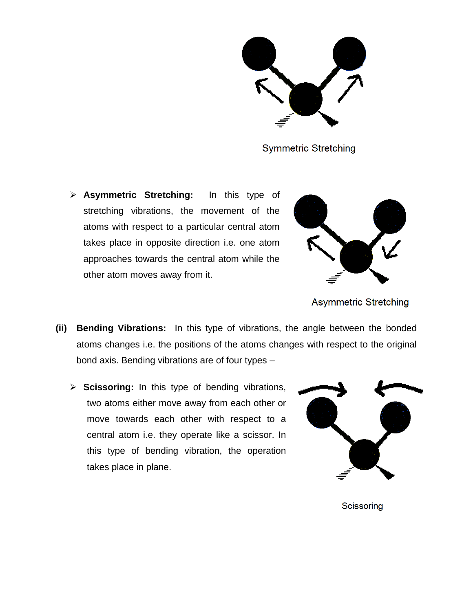**Symmetric Stretching** 

➢ **Asymmetric Stretching:** In this type of stretching vibrations, the movement of the atoms with respect to a particular central atom takes place in opposite direction i.e. one atom approaches towards the central atom while the other atom moves away from it.



**Asymmetric Stretching** 

- **(ii) Bending Vibrations:** In this type of vibrations, the angle between the bonded atoms changes i.e. the positions of the atoms changes with respect to the original bond axis. Bending vibrations are of four types –
	- ➢ **Scissoring:** In this type of bending vibrations, two atoms either move away from each other or move towards each other with respect to a central atom i.e. they operate like a scissor. In this type of bending vibration, the operation takes place in plane.



Scissoring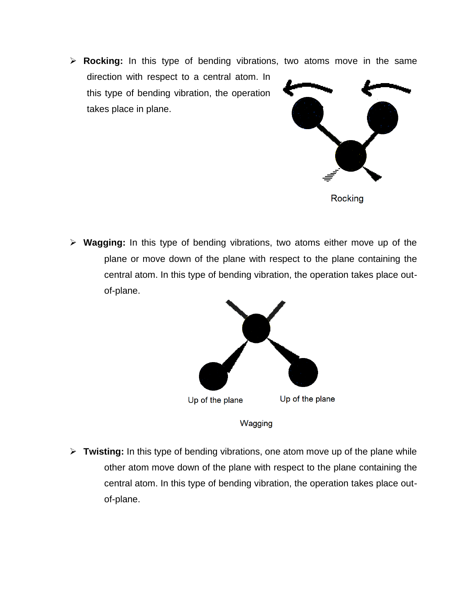➢ **Rocking:** In this type of bending vibrations, two atoms move in the same

direction with respect to a central atom. In this type of bending vibration, the operation takes place in plane.



Rocking

➢ **Wagging:** In this type of bending vibrations, two atoms either move up of the plane or move down of the plane with respect to the plane containing the central atom. In this type of bending vibration, the operation takes place outof-plane.



Wagging

➢ **Twisting:** In this type of bending vibrations, one atom move up of the plane while other atom move down of the plane with respect to the plane containing the central atom. In this type of bending vibration, the operation takes place outof-plane.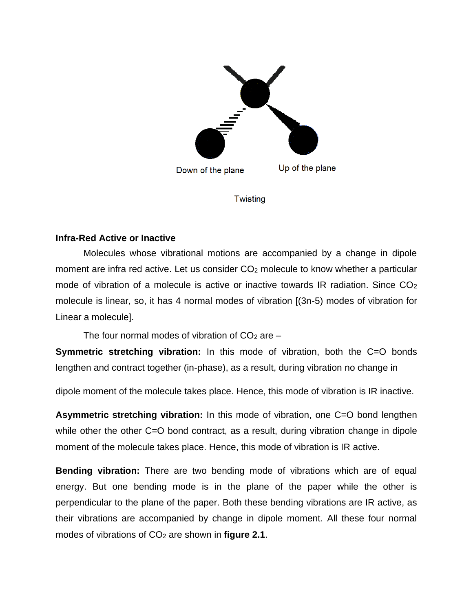

**Twisting** 

# **Infra-Red Active or Inactive**

Molecules whose vibrational motions are accompanied by a change in dipole moment are infra red active. Let us consider CO<sup>2</sup> molecule to know whether a particular mode of vibration of a molecule is active or inactive towards IR radiation. Since  $CO<sub>2</sub>$ molecule is linear, so, it has 4 normal modes of vibration [(3n-5) modes of vibration for Linear a molecule].

The four normal modes of vibration of  $CO<sub>2</sub>$  are  $-$ 

**Symmetric stretching vibration:** In this mode of vibration, both the C=O bonds lengthen and contract together (in-phase), as a result, during vibration no change in

dipole moment of the molecule takes place. Hence, this mode of vibration is IR inactive.

**Asymmetric stretching vibration:** In this mode of vibration, one C=O bond lengthen while other the other C=O bond contract, as a result, during vibration change in dipole moment of the molecule takes place. Hence, this mode of vibration is IR active.

**Bending vibration:** There are two bending mode of vibrations which are of equal energy. But one bending mode is in the plane of the paper while the other is perpendicular to the plane of the paper. Both these bending vibrations are IR active, as their vibrations are accompanied by change in dipole moment. All these four normal modes of vibrations of CO<sup>2</sup> are shown in **figure 2.1**.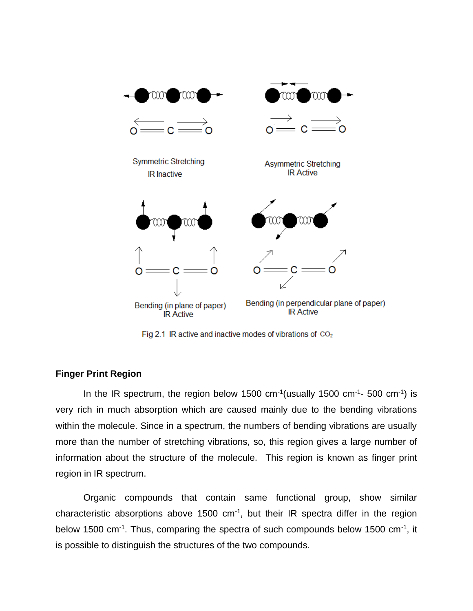

Fig 2.1 IR active and inactive modes of vibrations of  $CO<sub>2</sub>$ 

# **Finger Print Region**

In the IR spectrum, the region below 1500 cm<sup>-1</sup> (usually 1500 cm<sup>-1</sup>- 500 cm<sup>-1</sup>) is very rich in much absorption which are caused mainly due to the bending vibrations within the molecule. Since in a spectrum, the numbers of bending vibrations are usually more than the number of stretching vibrations, so, this region gives a large number of information about the structure of the molecule. This region is known as finger print region in IR spectrum.

Organic compounds that contain same functional group, show similar characteristic absorptions above 1500  $cm^{-1}$ , but their IR spectra differ in the region below 1500 cm<sup>-1</sup>. Thus, comparing the spectra of such compounds below 1500 cm<sup>-1</sup>, it is possible to distinguish the structures of the two compounds.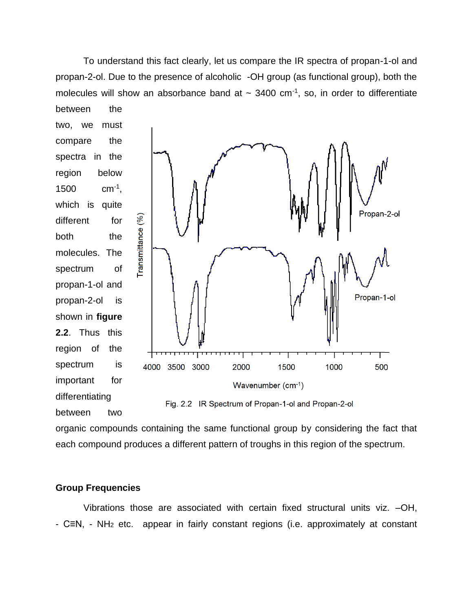To understand this fact clearly, let us compare the IR spectra of propan-1-ol and propan-2-ol. Due to the presence of alcoholic -OH group (as functional group), both the molecules will show an absorbance band at  $\sim 3400$  cm<sup>-1</sup>, so, in order to differentiate between the

two, we must compare the spectra in the region below 1500  $cm^{-1}$ , which is quite different for both the molecules. The spectrum of propan-1-ol and propan-2-ol is shown in **figure 2.2**. Thus this region of the spectrum is important for differentiating between two



Fig. 2.2 IR Spectrum of Propan-1-ol and Propan-2-ol

organic compounds containing the same functional group by considering the fact that each compound produces a different pattern of troughs in this region of the spectrum.

### **Group Frequencies**

Vibrations those are associated with certain fixed structural units viz. –OH, - C≡N, - NH<sup>2</sup> etc. appear in fairly constant regions (i.e. approximately at constant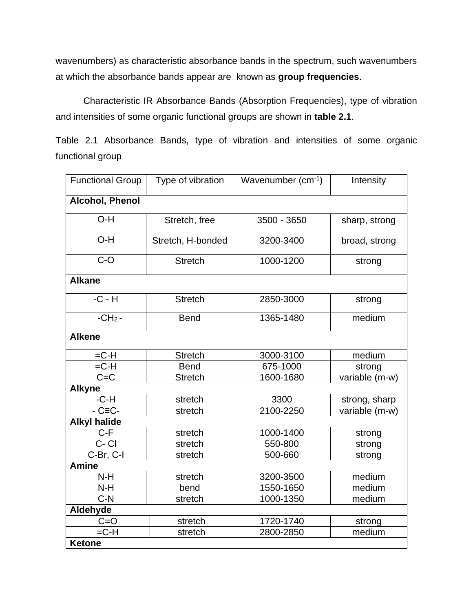wavenumbers) as characteristic absorbance bands in the spectrum, such wavenumbers at which the absorbance bands appear are known as **group frequencies**.

Characteristic IR Absorbance Bands (Absorption Frequencies), type of vibration and intensities of some organic functional groups are shown in **table 2.1**.

Table 2.1 Absorbance Bands, type of vibration and intensities of some organic functional group

| <b>Functional Group</b> | Type of vibration | Wavenumber $(cm-1)$ | Intensity      |  |  |
|-------------------------|-------------------|---------------------|----------------|--|--|
| Alcohol, Phenol         |                   |                     |                |  |  |
| O-H                     | Stretch, free     | 3500 - 3650         | sharp, strong  |  |  |
| O-H                     | Stretch, H-bonded | 3200-3400           | broad, strong  |  |  |
| $C-O$                   | <b>Stretch</b>    | 1000-1200           | strong         |  |  |
| <b>Alkane</b>           |                   |                     |                |  |  |
| $-C - H$                | <b>Stretch</b>    | 2850-3000           | strong         |  |  |
| $-CH2$ -                | <b>Bend</b>       | 1365-1480           | medium         |  |  |
| <b>Alkene</b>           |                   |                     |                |  |  |
| $=C-H$                  | <b>Stretch</b>    | 3000-3100           | medium         |  |  |
| $=C-H$                  | <b>Bend</b>       | 675-1000            | strong         |  |  |
| $C = C$                 | <b>Stretch</b>    | 1600-1680           | variable (m-w) |  |  |
| <b>Alkyne</b>           |                   |                     |                |  |  |
| $-C-H$                  | stretch           | 3300                | strong, sharp  |  |  |
| $-C\equiv C$ -          | stretch           | 2100-2250           | variable (m-w) |  |  |
| <b>Alkyl halide</b>     |                   |                     |                |  |  |
| $C-F$                   | stretch           | 1000-1400           | strong         |  |  |
| C-CI                    | stretch           | 550-800             | strong         |  |  |
| C-Br, C-I               | stretch           | 500-660             | strong         |  |  |
| <b>Amine</b>            |                   |                     |                |  |  |
| $N-H$                   | stretch           | 3200-3500           | medium         |  |  |
| $N-H$                   | bend              | 1550-1650           | medium         |  |  |
| $C-N$                   | stretch           | 1000-1350           | medium         |  |  |
| Aldehyde                |                   |                     |                |  |  |
| $C = O$                 | stretch           | 1720-1740           | strong         |  |  |
| $=$ C-H                 | stretch           | 2800-2850           | medium         |  |  |
| <b>Ketone</b>           |                   |                     |                |  |  |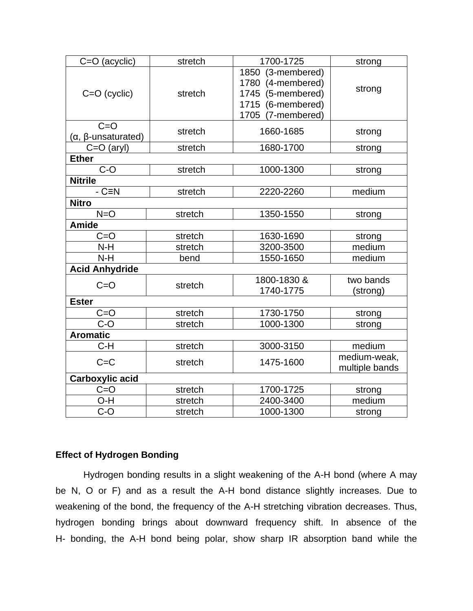| C=O (acyclic)                 | stretch | 1700-1725                                                                                             | strong                         |  |  |
|-------------------------------|---------|-------------------------------------------------------------------------------------------------------|--------------------------------|--|--|
| $C = O$ (cyclic)              | stretch | 1850 (3-membered)<br>1780 (4-membered)<br>1745 (5-membered)<br>1715 (6-membered)<br>1705 (7-membered) | strong                         |  |  |
| $C = O$<br>(α, β-unsaturated) | stretch | 1660-1685                                                                                             | strong                         |  |  |
| $C=O$ (aryl)                  | stretch | 1680-1700                                                                                             | strong                         |  |  |
| <b>Ether</b>                  |         |                                                                                                       |                                |  |  |
| $C-O$                         | stretch | 1000-1300                                                                                             | strong                         |  |  |
| <b>Nitrile</b>                |         |                                                                                                       |                                |  |  |
| $-CEN$                        | stretch | 2220-2260                                                                                             | medium                         |  |  |
| <b>Nitro</b>                  |         |                                                                                                       |                                |  |  |
| $N = O$                       | stretch | 1350-1550                                                                                             | strong                         |  |  |
| <b>Amide</b>                  |         |                                                                                                       |                                |  |  |
| $C = O$                       | stretch | 1630-1690                                                                                             | strong                         |  |  |
| $N-H$                         | stretch | 3200-3500                                                                                             | medium                         |  |  |
| $N-H$                         | bend    | 1550-1650                                                                                             | medium                         |  |  |
| <b>Acid Anhydride</b>         |         |                                                                                                       |                                |  |  |
| $C = O$                       | stretch | 1800-1830 &<br>1740-1775                                                                              | two bands<br>(strong)          |  |  |
| <b>Ester</b>                  |         |                                                                                                       |                                |  |  |
| $C = O$                       | stretch | 1730-1750                                                                                             | strong                         |  |  |
| $C-O$                         | stretch | 1000-1300                                                                                             | strong                         |  |  |
| <b>Aromatic</b>               |         |                                                                                                       |                                |  |  |
| $C-H$                         | stretch | 3000-3150                                                                                             | medium                         |  |  |
| $C = C$                       | stretch | 1475-1600                                                                                             | medium-weak,<br>multiple bands |  |  |
| Carboxylic acid               |         |                                                                                                       |                                |  |  |
| $C = O$                       | stretch | 1700-1725                                                                                             | strong                         |  |  |
| O-H                           | stretch | 2400-3400                                                                                             | medium                         |  |  |
| $C-O$                         | stretch | 1000-1300                                                                                             | strong                         |  |  |

# **Effect of Hydrogen Bonding**

Hydrogen bonding results in a slight weakening of the A-H bond (where A may be N, O or F) and as a result the A-H bond distance slightly increases. Due to weakening of the bond, the frequency of the A-H stretching vibration decreases. Thus, hydrogen bonding brings about downward frequency shift. In absence of the H- bonding, the A-H bond being polar, show sharp IR absorption band while the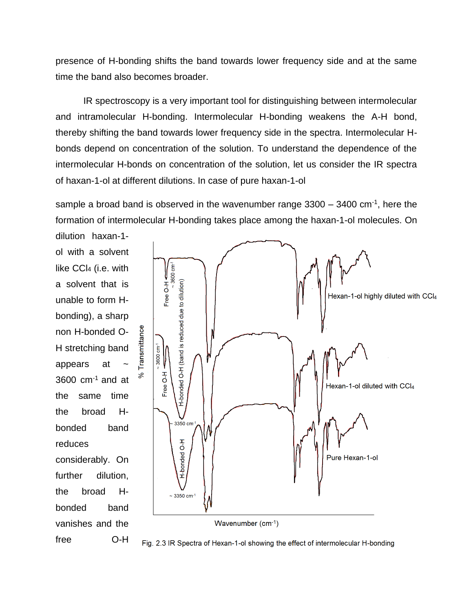presence of H-bonding shifts the band towards lower frequency side and at the same time the band also becomes broader.

IR spectroscopy is a very important tool for distinguishing between intermolecular and intramolecular H-bonding. Intermolecular H-bonding weakens the A-H bond, thereby shifting the band towards lower frequency side in the spectra. Intermolecular Hbonds depend on concentration of the solution. To understand the dependence of the intermolecular H-bonds on concentration of the solution, let us consider the IR spectra of haxan-1-ol at different dilutions. In case of pure haxan-1-ol

sample a broad band is observed in the wavenumber range 3300 – 3400 cm<sup>-1</sup>, here the formation of intermolecular H-bonding takes place among the haxan-1-ol molecules. On

ol with a solvent like CCl<sup>4</sup> (i.e. with a solvent that is unable to form Hbonding), a sharp non H-bonded O-H stretching band appears at  $3600 \text{ cm}^{-1}$  and at the same time the broad Hbonded band reduces considerably. On further dilution. the broad Hbonded band vanishes and the free O-H

dilution haxan-1-



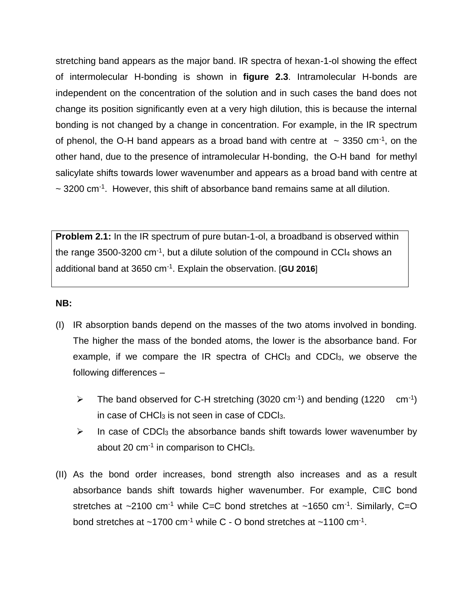stretching band appears as the major band. IR spectra of hexan-1-ol showing the effect of intermolecular H-bonding is shown in **figure 2.3**. Intramolecular H-bonds are independent on the concentration of the solution and in such cases the band does not change its position significantly even at a very high dilution, this is because the internal bonding is not changed by a change in concentration. For example, in the IR spectrum of phenol, the O-H band appears as a broad band with centre at  $\sim$  3350 cm<sup>-1</sup>, on the other hand, due to the presence of intramolecular H-bonding, the O-H band for methyl salicylate shifts towards lower wavenumber and appears as a broad band with centre at  $\sim$  3200 cm<sup>-1</sup>. However, this shift of absorbance band remains same at all dilution.

**Problem 2.1:** In the IR spectrum of pure butan-1-ol, a broadband is observed within the range 3500-3200 cm $^{-1}$ , but a dilute solution of the compound in CCl<sub>4</sub> shows an additional band at 3650 cm-1 . Explain the observation. [**GU 2016**]

#### **NB:**

- (I) IR absorption bands depend on the masses of the two atoms involved in bonding. The higher the mass of the bonded atoms, the lower is the absorbance band. For example, if we compare the IR spectra of  $CHCl<sub>3</sub>$  and  $CDCl<sub>3</sub>$ , we observe the following differences –
	- $\triangleright$  The band observed for C-H stretching (3020 cm<sup>-1</sup>) and bending (1220 cm<sup>-1</sup>) in case of  $CHCl<sub>3</sub>$  is not seen in case of CDCl<sub>3</sub>.
	- $\triangleright$  In case of CDCl<sub>3</sub> the absorbance bands shift towards lower wavenumber by about 20 cm<sup>-1</sup> in comparison to CHCl<sub>3</sub>.
- (II) As the bond order increases, bond strength also increases and as a result absorbance bands shift towards higher wavenumber. For example, C≡C bond stretches at  $\sim$ 2100 cm<sup>-1</sup> while C=C bond stretches at  $\sim$ 1650 cm<sup>-1</sup>. Similarly, C=O bond stretches at  $\sim$ 1700 cm<sup>-1</sup> while C - O bond stretches at  $\sim$ 1100 cm<sup>-1</sup>.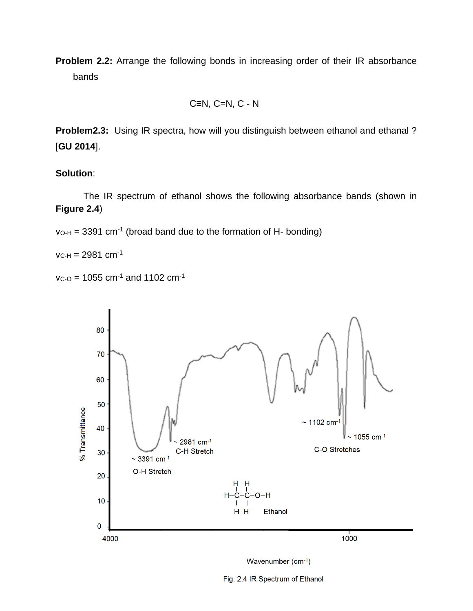**Problem 2.2:** Arrange the following bonds in increasing order of their IR absorbance bands

$$
C\equiv N, C=N, C-N
$$

**Problem2.3:** Using IR spectra, how will you distinguish between ethanol and ethanal ? [**GU 2014**].

### **Solution**:

The IR spectrum of ethanol shows the following absorbance bands (shown in **Figure 2.4**)

 $v_{O-H}$  = 3391 cm<sup>-1</sup> (broad band due to the formation of H- bonding)

 $v_{C-H} = 2981$  cm<sup>-1</sup>

```
v_{C-O} = 1055 cm<sup>-1</sup> and 1102 cm<sup>-1</sup>
```




Fig. 2.4 IR Spectrum of Ethanol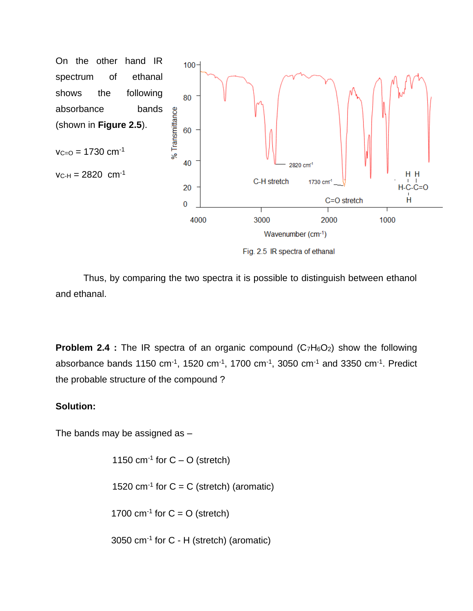

Fig. 2.5 IR spectra of ethanal

Thus, by comparing the two spectra it is possible to distinguish between ethanol and ethanal.

**Problem 2.4** : The IR spectra of an organic compound (C<sub>7</sub>H<sub>6</sub>O<sub>2</sub>) show the following absorbance bands 1150 cm<sup>-1</sup>, 1520 cm<sup>-1</sup>, 1700 cm<sup>-1</sup>, 3050 cm<sup>-1</sup> and 3350 cm<sup>-1</sup>. Predict the probable structure of the compound ?

### **Solution:**

The bands may be assigned as –

 $cm<sup>-1</sup>$  for C – O (stretch)  $cm^{-1}$  for  $C = C$  (stretch) (aromatic)  $\text{cm}^{-1}$  for  $\text{C} = \text{O}$  (stretch) 3050 cm-1 for C - H (stretch) (aromatic)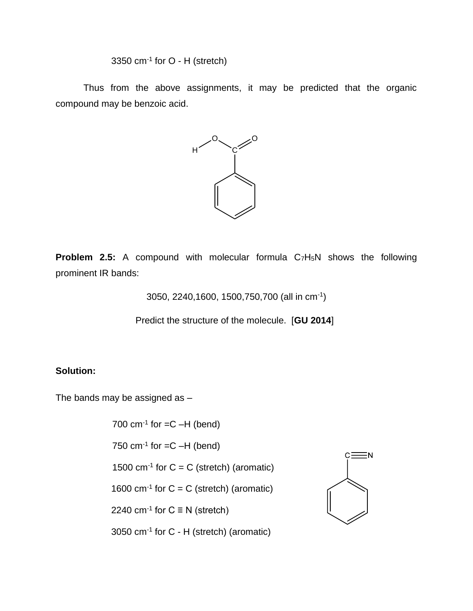3350 cm $^{-1}$  for O - H (stretch)

Thus from the above assignments, it may be predicted that the organic compound may be benzoic acid.



**Problem 2.5:** A compound with molecular formula C7H5N shows the following prominent IR bands:

3050, 2240,1600, 1500,750,700 (all in cm-1 )

Predict the structure of the molecule. [**GU 2014**]

### **Solution:**

The bands may be assigned as –

 $700 \text{ cm}^{-1}$  for  $=C -H$  (bend)  $750 \text{ cm}^{-1}$  for  $=C -H$  (bend) 1500  $cm^{-1}$  for  $C = C$  (stretch) (aromatic) 1600 cm<sup>-1</sup> for  $C = C$  (stretch) (aromatic) 2240 cm<sup>-1</sup> for  $C \equiv N$  (stretch) 3050 cm-1 for C - H (stretch) (aromatic)